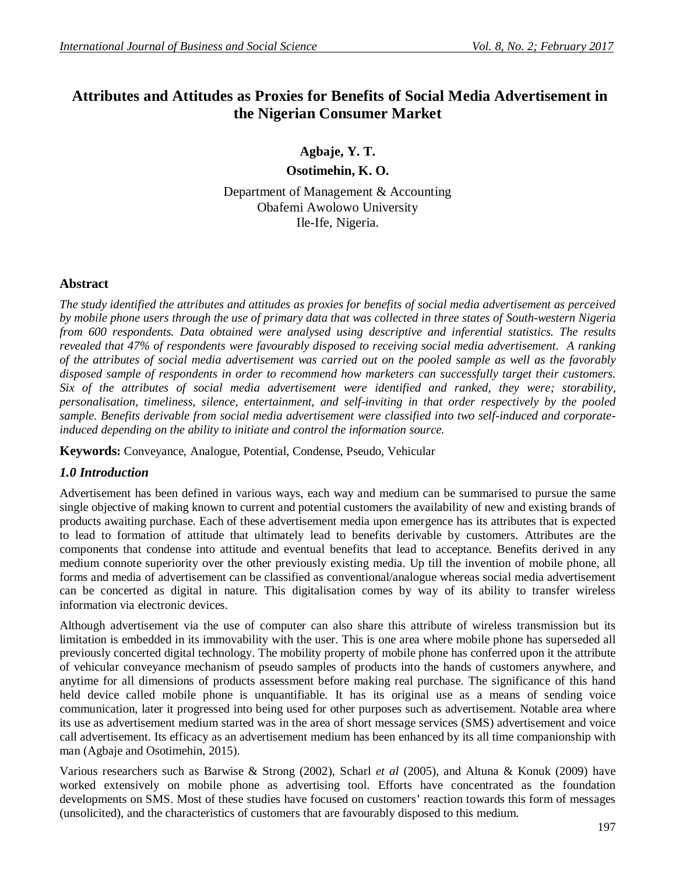# **Attributes and Attitudes as Proxies for Benefits of Social Media Advertisement in the Nigerian Consumer Market**

**Agbaje, Y. T.**

**Osotimehin, K. O.**

Department of Management & Accounting Obafemi Awolowo University Ile-Ife, Nigeria.

## **Abstract**

*The study identified the attributes and attitudes as proxies for benefits of social media advertisement as perceived by mobile phone users through the use of primary data that was collected in three states of South-western Nigeria from 600 respondents. Data obtained were analysed using descriptive and inferential statistics. The results revealed that 47% of respondents were favourably disposed to receiving social media advertisement. A ranking of the attributes of social media advertisement was carried out on the pooled sample as well as the favorably disposed sample of respondents in order to recommend how marketers can successfully target their customers. Six of the attributes of social media advertisement were identified and ranked, they were; storability, personalisation, timeliness, silence, entertainment, and self-inviting in that order respectively by the pooled sample. Benefits derivable from social media advertisement were classified into two self-induced and corporateinduced depending on the ability to initiate and control the information source.*

**Keywords:** Conveyance, Analogue, Potential, Condense, Pseudo, Vehicular

## *1.0 Introduction*

Advertisement has been defined in various ways, each way and medium can be summarised to pursue the same single objective of making known to current and potential customers the availability of new and existing brands of products awaiting purchase. Each of these advertisement media upon emergence has its attributes that is expected to lead to formation of attitude that ultimately lead to benefits derivable by customers. Attributes are the components that condense into attitude and eventual benefits that lead to acceptance. Benefits derived in any medium connote superiority over the other previously existing media. Up till the invention of mobile phone, all forms and media of advertisement can be classified as conventional/analogue whereas social media advertisement can be concerted as digital in nature. This digitalisation comes by way of its ability to transfer wireless information via electronic devices.

Although advertisement via the use of computer can also share this attribute of wireless transmission but its limitation is embedded in its immovability with the user. This is one area where mobile phone has superseded all previously concerted digital technology. The mobility property of mobile phone has conferred upon it the attribute of vehicular conveyance mechanism of pseudo samples of products into the hands of customers anywhere, and anytime for all dimensions of products assessment before making real purchase. The significance of this hand held device called mobile phone is unquantifiable. It has its original use as a means of sending voice communication, later it progressed into being used for other purposes such as advertisement. Notable area where its use as advertisement medium started was in the area of short message services (SMS) advertisement and voice call advertisement. Its efficacy as an advertisement medium has been enhanced by its all time companionship with man (Agbaje and Osotimehin, 2015).

Various researchers such as Barwise & Strong (2002), Scharl *et al* (2005), and Altuna & Konuk (2009) have worked extensively on mobile phone as advertising tool. Efforts have concentrated as the foundation developments on SMS. Most of these studies have focused on customers' reaction towards this form of messages (unsolicited), and the characteristics of customers that are favourably disposed to this medium.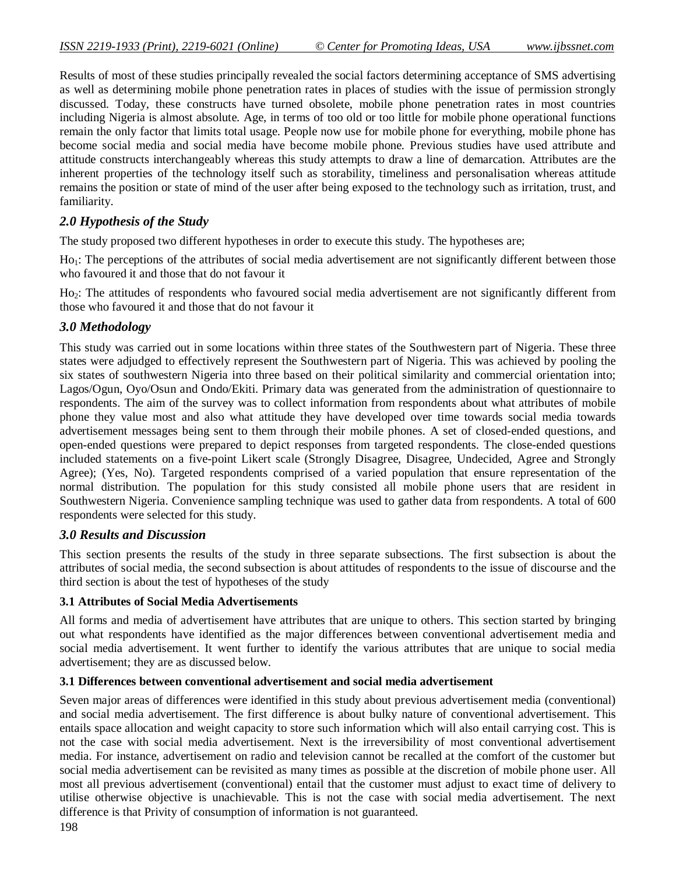Results of most of these studies principally revealed the social factors determining acceptance of SMS advertising as well as determining mobile phone penetration rates in places of studies with the issue of permission strongly discussed. Today, these constructs have turned obsolete, mobile phone penetration rates in most countries including Nigeria is almost absolute. Age, in terms of too old or too little for mobile phone operational functions remain the only factor that limits total usage. People now use for mobile phone for everything, mobile phone has become social media and social media have become mobile phone. Previous studies have used attribute and attitude constructs interchangeably whereas this study attempts to draw a line of demarcation. Attributes are the inherent properties of the technology itself such as storability, timeliness and personalisation whereas attitude remains the position or state of mind of the user after being exposed to the technology such as irritation, trust, and familiarity.

## *2.0 Hypothesis of the Study*

The study proposed two different hypotheses in order to execute this study. The hypotheses are;

Ho<sub>1</sub>: The perceptions of the attributes of social media advertisement are not significantly different between those who favoured it and those that do not favour it

Ho2: The attitudes of respondents who favoured social media advertisement are not significantly different from those who favoured it and those that do not favour it

#### *3.0 Methodology*

This study was carried out in some locations within three states of the Southwestern part of Nigeria. These three states were adjudged to effectively represent the Southwestern part of Nigeria. This was achieved by pooling the six states of southwestern Nigeria into three based on their political similarity and commercial orientation into; Lagos/Ogun, Oyo/Osun and Ondo/Ekiti. Primary data was generated from the administration of questionnaire to respondents. The aim of the survey was to collect information from respondents about what attributes of mobile phone they value most and also what attitude they have developed over time towards social media towards advertisement messages being sent to them through their mobile phones. A set of closed-ended questions, and open-ended questions were prepared to depict responses from targeted respondents. The close-ended questions included statements on a five-point Likert scale (Strongly Disagree, Disagree, Undecided, Agree and Strongly Agree); (Yes, No). Targeted respondents comprised of a varied population that ensure representation of the normal distribution. The population for this study consisted all mobile phone users that are resident in Southwestern Nigeria. Convenience sampling technique was used to gather data from respondents. A total of 600 respondents were selected for this study.

#### *3.0 Results and Discussion*

This section presents the results of the study in three separate subsections. The first subsection is about the attributes of social media, the second subsection is about attitudes of respondents to the issue of discourse and the third section is about the test of hypotheses of the study

#### **3.1 Attributes of Social Media Advertisements**

All forms and media of advertisement have attributes that are unique to others. This section started by bringing out what respondents have identified as the major differences between conventional advertisement media and social media advertisement. It went further to identify the various attributes that are unique to social media advertisement; they are as discussed below.

#### **3.1 Differences between conventional advertisement and social media advertisement**

Seven major areas of differences were identified in this study about previous advertisement media (conventional) and social media advertisement. The first difference is about bulky nature of conventional advertisement. This entails space allocation and weight capacity to store such information which will also entail carrying cost. This is not the case with social media advertisement. Next is the irreversibility of most conventional advertisement media. For instance, advertisement on radio and television cannot be recalled at the comfort of the customer but social media advertisement can be revisited as many times as possible at the discretion of mobile phone user. All most all previous advertisement (conventional) entail that the customer must adjust to exact time of delivery to utilise otherwise objective is unachievable. This is not the case with social media advertisement. The next difference is that Privity of consumption of information is not guaranteed.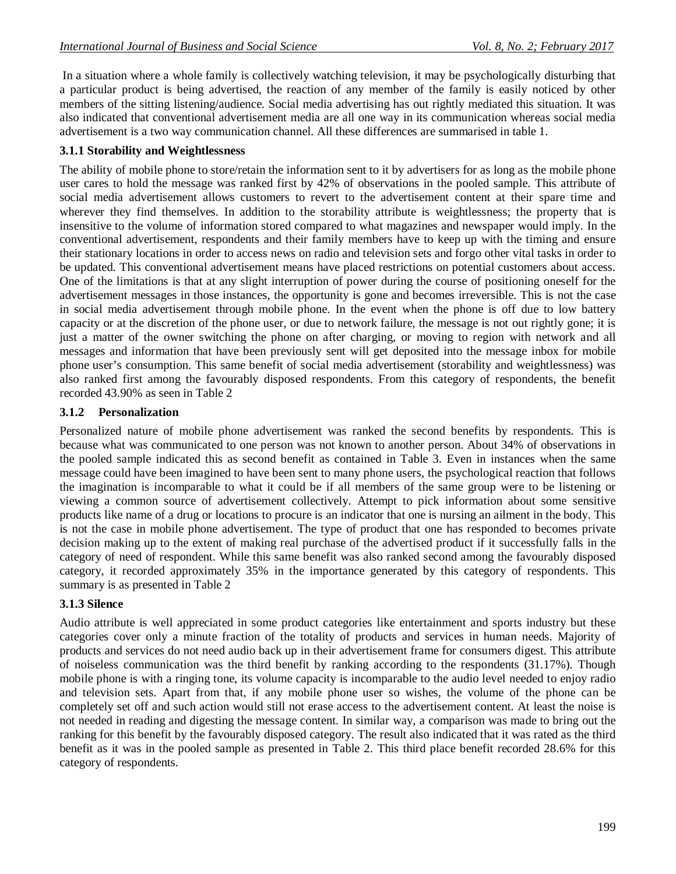In a situation where a whole family is collectively watching television, it may be psychologically disturbing that a particular product is being advertised, the reaction of any member of the family is easily noticed by other members of the sitting listening/audience. Social media advertising has out rightly mediated this situation. It was also indicated that conventional advertisement media are all one way in its communication whereas social media advertisement is a two way communication channel. All these differences are summarised in table 1.

## **3.1.1 Storability and Weightlessness**

The ability of mobile phone to store/retain the information sent to it by advertisers for as long as the mobile phone user cares to hold the message was ranked first by 42% of observations in the pooled sample. This attribute of social media advertisement allows customers to revert to the advertisement content at their spare time and wherever they find themselves. In addition to the storability attribute is weightlessness; the property that is insensitive to the volume of information stored compared to what magazines and newspaper would imply. In the conventional advertisement, respondents and their family members have to keep up with the timing and ensure their stationary locations in order to access news on radio and television sets and forgo other vital tasks in order to be updated. This conventional advertisement means have placed restrictions on potential customers about access. One of the limitations is that at any slight interruption of power during the course of positioning oneself for the advertisement messages in those instances, the opportunity is gone and becomes irreversible. This is not the case in social media advertisement through mobile phone. In the event when the phone is off due to low battery capacity or at the discretion of the phone user, or due to network failure, the message is not out rightly gone; it is just a matter of the owner switching the phone on after charging, or moving to region with network and all messages and information that have been previously sent will get deposited into the message inbox for mobile phone user's consumption. This same benefit of social media advertisement (storability and weightlessness) was also ranked first among the favourably disposed respondents. From this category of respondents, the benefit recorded 43.90% as seen in Table 2

### **3.1.2 Personalization**

Personalized nature of mobile phone advertisement was ranked the second benefits by respondents. This is because what was communicated to one person was not known to another person. About 34% of observations in the pooled sample indicated this as second benefit as contained in Table 3. Even in instances when the same message could have been imagined to have been sent to many phone users, the psychological reaction that follows the imagination is incomparable to what it could be if all members of the same group were to be listening or viewing a common source of advertisement collectively. Attempt to pick information about some sensitive products like name of a drug or locations to procure is an indicator that one is nursing an ailment in the body. This is not the case in mobile phone advertisement. The type of product that one has responded to becomes private decision making up to the extent of making real purchase of the advertised product if it successfully falls in the category of need of respondent. While this same benefit was also ranked second among the favourably disposed category, it recorded approximately 35% in the importance generated by this category of respondents. This summary is as presented in Table 2

#### **3.1.3 Silence**

Audio attribute is well appreciated in some product categories like entertainment and sports industry but these categories cover only a minute fraction of the totality of products and services in human needs. Majority of products and services do not need audio back up in their advertisement frame for consumers digest. This attribute of noiseless communication was the third benefit by ranking according to the respondents (31.17%). Though mobile phone is with a ringing tone, its volume capacity is incomparable to the audio level needed to enjoy radio and television sets. Apart from that, if any mobile phone user so wishes, the volume of the phone can be completely set off and such action would still not erase access to the advertisement content. At least the noise is not needed in reading and digesting the message content. In similar way, a comparison was made to bring out the ranking for this benefit by the favourably disposed category. The result also indicated that it was rated as the third benefit as it was in the pooled sample as presented in Table 2. This third place benefit recorded 28.6% for this category of respondents.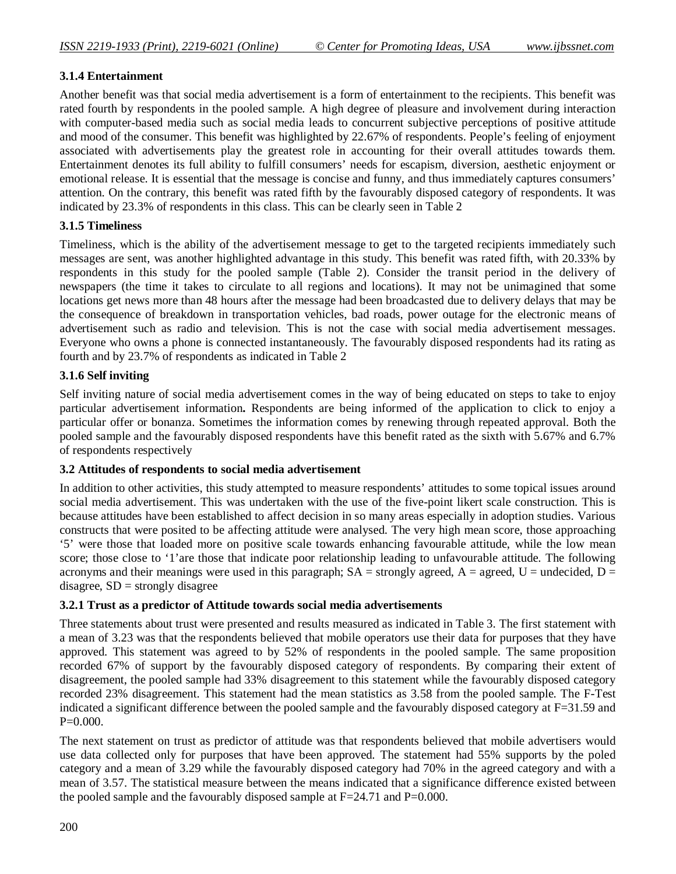## **3.1.4 Entertainment**

Another benefit was that social media advertisement is a form of entertainment to the recipients. This benefit was rated fourth by respondents in the pooled sample. A high degree of pleasure and involvement during interaction with computer-based media such as social media leads to concurrent subjective perceptions of positive attitude and mood of the consumer. This benefit was highlighted by 22.67% of respondents. People's feeling of enjoyment associated with advertisements play the greatest role in accounting for their overall attitudes towards them. Entertainment denotes its full ability to fulfill consumers' needs for escapism, diversion, aesthetic enjoyment or emotional release. It is essential that the message is concise and funny, and thus immediately captures consumers' attention. On the contrary, this benefit was rated fifth by the favourably disposed category of respondents. It was indicated by 23.3% of respondents in this class. This can be clearly seen in Table 2

## **3.1.5 Timeliness**

Timeliness, which is the ability of the advertisement message to get to the targeted recipients immediately such messages are sent, was another highlighted advantage in this study. This benefit was rated fifth, with 20.33% by respondents in this study for the pooled sample (Table 2). Consider the transit period in the delivery of newspapers (the time it takes to circulate to all regions and locations). It may not be unimagined that some locations get news more than 48 hours after the message had been broadcasted due to delivery delays that may be the consequence of breakdown in transportation vehicles, bad roads, power outage for the electronic means of advertisement such as radio and television. This is not the case with social media advertisement messages. Everyone who owns a phone is connected instantaneously. The favourably disposed respondents had its rating as fourth and by 23.7% of respondents as indicated in Table 2

## **3.1.6 Self inviting**

Self inviting nature of social media advertisement comes in the way of being educated on steps to take to enjoy particular advertisement information**.** Respondents are being informed of the application to click to enjoy a particular offer or bonanza. Sometimes the information comes by renewing through repeated approval. Both the pooled sample and the favourably disposed respondents have this benefit rated as the sixth with 5.67% and 6.7% of respondents respectively

## **3.2 Attitudes of respondents to social media advertisement**

In addition to other activities, this study attempted to measure respondents' attitudes to some topical issues around social media advertisement. This was undertaken with the use of the five-point likert scale construction. This is because attitudes have been established to affect decision in so many areas especially in adoption studies. Various constructs that were posited to be affecting attitude were analysed. The very high mean score, those approaching '5' were those that loaded more on positive scale towards enhancing favourable attitude, while the low mean score; those close to '1'are those that indicate poor relationship leading to unfavourable attitude. The following acronyms and their meanings were used in this paragraph;  $SA =$  strongly agreed,  $A =$  agreed,  $U =$  undecided,  $D =$ disagree,  $SD =$  strongly disagree

## **3.2.1 Trust as a predictor of Attitude towards social media advertisements**

Three statements about trust were presented and results measured as indicated in Table 3. The first statement with a mean of 3.23 was that the respondents believed that mobile operators use their data for purposes that they have approved. This statement was agreed to by 52% of respondents in the pooled sample. The same proposition recorded 67% of support by the favourably disposed category of respondents. By comparing their extent of disagreement, the pooled sample had 33% disagreement to this statement while the favourably disposed category recorded 23% disagreement. This statement had the mean statistics as 3.58 from the pooled sample. The F-Test indicated a significant difference between the pooled sample and the favourably disposed category at F=31.59 and  $P=0.000$ .

The next statement on trust as predictor of attitude was that respondents believed that mobile advertisers would use data collected only for purposes that have been approved. The statement had 55% supports by the poled category and a mean of 3.29 while the favourably disposed category had 70% in the agreed category and with a mean of 3.57. The statistical measure between the means indicated that a significance difference existed between the pooled sample and the favourably disposed sample at  $F=24.71$  and  $P=0.000$ .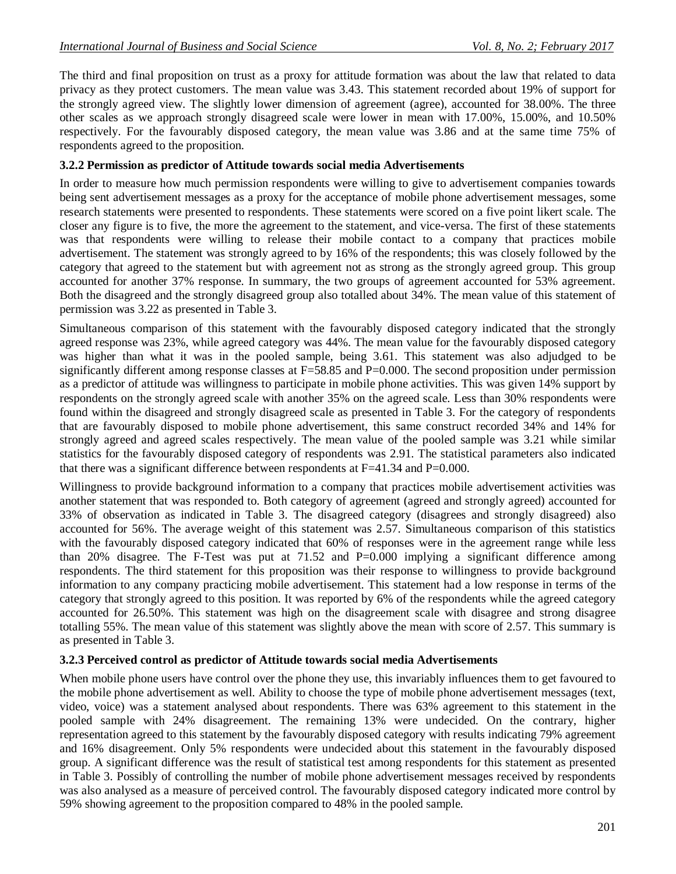The third and final proposition on trust as a proxy for attitude formation was about the law that related to data privacy as they protect customers. The mean value was 3.43. This statement recorded about 19% of support for the strongly agreed view. The slightly lower dimension of agreement (agree), accounted for 38.00%. The three other scales as we approach strongly disagreed scale were lower in mean with 17.00%, 15.00%, and 10.50% respectively. For the favourably disposed category, the mean value was 3.86 and at the same time 75% of respondents agreed to the proposition.

### **3.2.2 Permission as predictor of Attitude towards social media Advertisements**

In order to measure how much permission respondents were willing to give to advertisement companies towards being sent advertisement messages as a proxy for the acceptance of mobile phone advertisement messages, some research statements were presented to respondents. These statements were scored on a five point likert scale. The closer any figure is to five, the more the agreement to the statement, and vice-versa. The first of these statements was that respondents were willing to release their mobile contact to a company that practices mobile advertisement. The statement was strongly agreed to by 16% of the respondents; this was closely followed by the category that agreed to the statement but with agreement not as strong as the strongly agreed group. This group accounted for another 37% response. In summary, the two groups of agreement accounted for 53% agreement. Both the disagreed and the strongly disagreed group also totalled about 34%. The mean value of this statement of permission was 3.22 as presented in Table 3.

Simultaneous comparison of this statement with the favourably disposed category indicated that the strongly agreed response was 23%, while agreed category was 44%. The mean value for the favourably disposed category was higher than what it was in the pooled sample, being 3.61. This statement was also adjudged to be significantly different among response classes at F=58.85 and P=0.000. The second proposition under permission as a predictor of attitude was willingness to participate in mobile phone activities. This was given 14% support by respondents on the strongly agreed scale with another 35% on the agreed scale. Less than 30% respondents were found within the disagreed and strongly disagreed scale as presented in Table 3. For the category of respondents that are favourably disposed to mobile phone advertisement, this same construct recorded 34% and 14% for strongly agreed and agreed scales respectively. The mean value of the pooled sample was 3.21 while similar statistics for the favourably disposed category of respondents was 2.91. The statistical parameters also indicated that there was a significant difference between respondents at  $F=41.34$  and  $P=0.000$ .

Willingness to provide background information to a company that practices mobile advertisement activities was another statement that was responded to. Both category of agreement (agreed and strongly agreed) accounted for 33% of observation as indicated in Table 3. The disagreed category (disagrees and strongly disagreed) also accounted for 56%. The average weight of this statement was 2.57. Simultaneous comparison of this statistics with the favourably disposed category indicated that 60% of responses were in the agreement range while less than 20% disagree. The F-Test was put at  $71.52$  and  $P=0.000$  implying a significant difference among respondents. The third statement for this proposition was their response to willingness to provide background information to any company practicing mobile advertisement. This statement had a low response in terms of the category that strongly agreed to this position. It was reported by 6% of the respondents while the agreed category accounted for 26.50%. This statement was high on the disagreement scale with disagree and strong disagree totalling 55%. The mean value of this statement was slightly above the mean with score of 2.57. This summary is as presented in Table 3.

#### **3.2.3 Perceived control as predictor of Attitude towards social media Advertisements**

When mobile phone users have control over the phone they use, this invariably influences them to get favoured to the mobile phone advertisement as well. Ability to choose the type of mobile phone advertisement messages (text, video, voice) was a statement analysed about respondents. There was 63% agreement to this statement in the pooled sample with 24% disagreement. The remaining 13% were undecided. On the contrary, higher representation agreed to this statement by the favourably disposed category with results indicating 79% agreement and 16% disagreement. Only 5% respondents were undecided about this statement in the favourably disposed group. A significant difference was the result of statistical test among respondents for this statement as presented in Table 3. Possibly of controlling the number of mobile phone advertisement messages received by respondents was also analysed as a measure of perceived control. The favourably disposed category indicated more control by 59% showing agreement to the proposition compared to 48% in the pooled sample.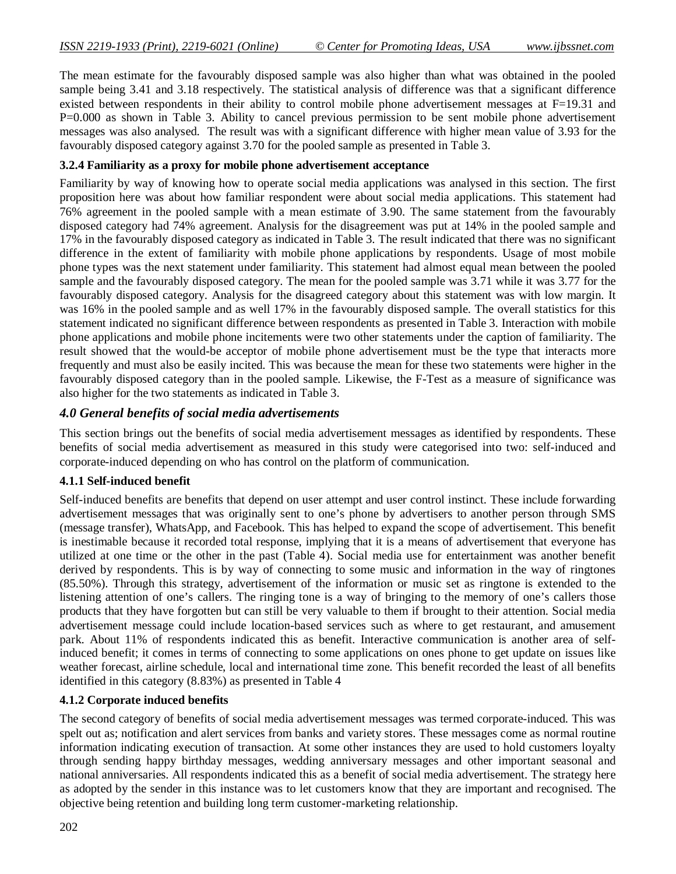The mean estimate for the favourably disposed sample was also higher than what was obtained in the pooled sample being 3.41 and 3.18 respectively. The statistical analysis of difference was that a significant difference existed between respondents in their ability to control mobile phone advertisement messages at F=19.31 and P=0.000 as shown in Table 3. Ability to cancel previous permission to be sent mobile phone advertisement messages was also analysed. The result was with a significant difference with higher mean value of 3.93 for the favourably disposed category against 3.70 for the pooled sample as presented in Table 3.

### **3.2.4 Familiarity as a proxy for mobile phone advertisement acceptance**

Familiarity by way of knowing how to operate social media applications was analysed in this section. The first proposition here was about how familiar respondent were about social media applications. This statement had 76% agreement in the pooled sample with a mean estimate of 3.90. The same statement from the favourably disposed category had 74% agreement. Analysis for the disagreement was put at 14% in the pooled sample and 17% in the favourably disposed category as indicated in Table 3. The result indicated that there was no significant difference in the extent of familiarity with mobile phone applications by respondents. Usage of most mobile phone types was the next statement under familiarity. This statement had almost equal mean between the pooled sample and the favourably disposed category. The mean for the pooled sample was 3.71 while it was 3.77 for the favourably disposed category. Analysis for the disagreed category about this statement was with low margin. It was 16% in the pooled sample and as well 17% in the favourably disposed sample. The overall statistics for this statement indicated no significant difference between respondents as presented in Table 3. Interaction with mobile phone applications and mobile phone incitements were two other statements under the caption of familiarity. The result showed that the would-be acceptor of mobile phone advertisement must be the type that interacts more frequently and must also be easily incited. This was because the mean for these two statements were higher in the favourably disposed category than in the pooled sample. Likewise, the F-Test as a measure of significance was also higher for the two statements as indicated in Table 3.

## *4.0 General benefits of social media advertisements*

This section brings out the benefits of social media advertisement messages as identified by respondents. These benefits of social media advertisement as measured in this study were categorised into two: self-induced and corporate-induced depending on who has control on the platform of communication.

#### **4.1.1 Self-induced benefit**

Self-induced benefits are benefits that depend on user attempt and user control instinct. These include forwarding advertisement messages that was originally sent to one's phone by advertisers to another person through SMS (message transfer), WhatsApp, and Facebook. This has helped to expand the scope of advertisement. This benefit is inestimable because it recorded total response, implying that it is a means of advertisement that everyone has utilized at one time or the other in the past (Table 4). Social media use for entertainment was another benefit derived by respondents. This is by way of connecting to some music and information in the way of ringtones (85.50%). Through this strategy, advertisement of the information or music set as ringtone is extended to the listening attention of one's callers. The ringing tone is a way of bringing to the memory of one's callers those products that they have forgotten but can still be very valuable to them if brought to their attention. Social media advertisement message could include location-based services such as where to get restaurant, and amusement park. About 11% of respondents indicated this as benefit. Interactive communication is another area of selfinduced benefit; it comes in terms of connecting to some applications on ones phone to get update on issues like weather forecast, airline schedule, local and international time zone. This benefit recorded the least of all benefits identified in this category (8.83%) as presented in Table 4

#### **4.1.2 Corporate induced benefits**

The second category of benefits of social media advertisement messages was termed corporate-induced. This was spelt out as; notification and alert services from banks and variety stores. These messages come as normal routine information indicating execution of transaction. At some other instances they are used to hold customers loyalty through sending happy birthday messages, wedding anniversary messages and other important seasonal and national anniversaries. All respondents indicated this as a benefit of social media advertisement. The strategy here as adopted by the sender in this instance was to let customers know that they are important and recognised. The objective being retention and building long term customer-marketing relationship.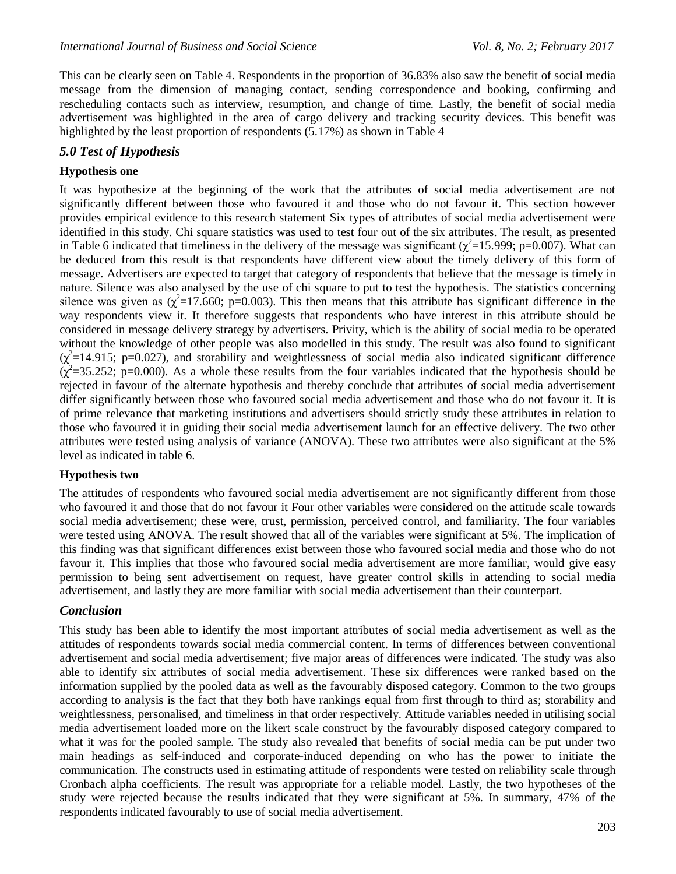This can be clearly seen on Table 4. Respondents in the proportion of 36.83% also saw the benefit of social media message from the dimension of managing contact, sending correspondence and booking, confirming and rescheduling contacts such as interview, resumption, and change of time. Lastly, the benefit of social media advertisement was highlighted in the area of cargo delivery and tracking security devices. This benefit was highlighted by the least proportion of respondents (5.17%) as shown in Table 4

## *5.0 Test of Hypothesis*

## **Hypothesis one**

It was hypothesize at the beginning of the work that the attributes of social media advertisement are not significantly different between those who favoured it and those who do not favour it. This section however provides empirical evidence to this research statement Six types of attributes of social media advertisement were identified in this study. Chi square statistics was used to test four out of the six attributes. The result, as presented in Table 6 indicated that timeliness in the delivery of the message was significant ( $\chi^2$ =15.999; p=0.007). What can be deduced from this result is that respondents have different view about the timely delivery of this form of message. Advertisers are expected to target that category of respondents that believe that the message is timely in nature. Silence was also analysed by the use of chi square to put to test the hypothesis. The statistics concerning silence was given as  $(\chi^2=17.660; p=0.003)$ . This then means that this attribute has significant difference in the way respondents view it. It therefore suggests that respondents who have interest in this attribute should be considered in message delivery strategy by advertisers. Privity, which is the ability of social media to be operated without the knowledge of other people was also modelled in this study. The result was also found to significant  $(\chi^2=14.915; \text{ p}=0.027)$ , and storability and weightlessness of social media also indicated significant difference  $(\chi^2 = 35.252; p = 0.000)$ . As a whole these results from the four variables indicated that the hypothesis should be rejected in favour of the alternate hypothesis and thereby conclude that attributes of social media advertisement differ significantly between those who favoured social media advertisement and those who do not favour it. It is of prime relevance that marketing institutions and advertisers should strictly study these attributes in relation to those who favoured it in guiding their social media advertisement launch for an effective delivery. The two other attributes were tested using analysis of variance (ANOVA). These two attributes were also significant at the 5% level as indicated in table 6.

## **Hypothesis two**

The attitudes of respondents who favoured social media advertisement are not significantly different from those who favoured it and those that do not favour it Four other variables were considered on the attitude scale towards social media advertisement; these were, trust, permission, perceived control, and familiarity. The four variables were tested using ANOVA. The result showed that all of the variables were significant at 5%. The implication of this finding was that significant differences exist between those who favoured social media and those who do not favour it. This implies that those who favoured social media advertisement are more familiar, would give easy permission to being sent advertisement on request, have greater control skills in attending to social media advertisement, and lastly they are more familiar with social media advertisement than their counterpart.

## *Conclusion*

This study has been able to identify the most important attributes of social media advertisement as well as the attitudes of respondents towards social media commercial content. In terms of differences between conventional advertisement and social media advertisement; five major areas of differences were indicated. The study was also able to identify six attributes of social media advertisement. These six differences were ranked based on the information supplied by the pooled data as well as the favourably disposed category. Common to the two groups according to analysis is the fact that they both have rankings equal from first through to third as; storability and weightlessness, personalised, and timeliness in that order respectively. Attitude variables needed in utilising social media advertisement loaded more on the likert scale construct by the favourably disposed category compared to what it was for the pooled sample. The study also revealed that benefits of social media can be put under two main headings as self-induced and corporate-induced depending on who has the power to initiate the communication. The constructs used in estimating attitude of respondents were tested on reliability scale through Cronbach alpha coefficients. The result was appropriate for a reliable model. Lastly, the two hypotheses of the study were rejected because the results indicated that they were significant at 5%. In summary, 47% of the respondents indicated favourably to use of social media advertisement.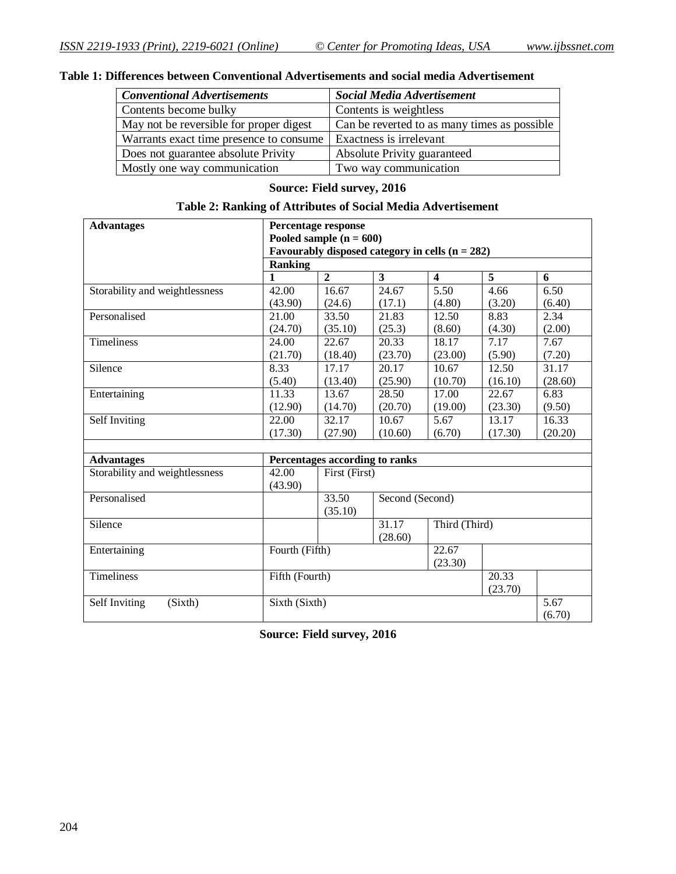| <b>Conventional Advertisements</b>      | <b>Social Media Advertisement</b>            |
|-----------------------------------------|----------------------------------------------|
| Contents become bulky                   | Contents is weightless                       |
| May not be reversible for proper digest | Can be reverted to as many times as possible |
| Warrants exact time presence to consume | Exactness is irrelevant                      |
| Does not guarantee absolute Privity     | Absolute Privity guaranteed                  |
| Mostly one way communication            | Two way communication                        |

## **Table 1: Differences between Conventional Advertisements and social media Advertisement**

## **Source: Field survey, 2016**

### **Table 2: Ranking of Attributes of Social Media Advertisement**

| <b>Advantages</b>              | Percentage response                               |                          |                         |                         |                    |         |
|--------------------------------|---------------------------------------------------|--------------------------|-------------------------|-------------------------|--------------------|---------|
|                                | Pooled sample $(n = 600)$                         |                          |                         |                         |                    |         |
|                                | Favourably disposed category in cells $(n = 282)$ |                          |                         |                         |                    |         |
|                                | <b>Ranking</b>                                    |                          |                         |                         |                    |         |
|                                |                                                   | $\overline{2}$           | $\overline{\mathbf{3}}$ | $\overline{\mathbf{4}}$ | $\overline{5}$     | 6       |
| Storability and weightlessness | 42.00                                             | 16.67                    | 24.67                   | 5.50                    | 4.66               | 6.50    |
|                                | (43.90)                                           | (24.6)                   | (17.1)                  | (4.80)                  | (3.20)             | (6.40)  |
| Personalised                   | 21.00                                             | 33.50                    | 21.83                   | 12.50                   | 8.83               | 2.34    |
|                                | (24.70)                                           | (35.10)                  | (25.3)                  | (8.60)                  | (4.30)             | (2.00)  |
| Timeliness                     | 24.00                                             | 22.67                    | 20.33                   | 18.17                   | 7.17               | 7.67    |
|                                | (21.70)                                           | (18.40)                  | (23.70)                 | (23.00)                 | (5.90)             | (7.20)  |
| Silence                        | 8.33                                              | 17.17                    | 20.17                   | 10.67                   | 12.50              | 31.17   |
|                                | (5.40)                                            | (13.40)                  | (25.90)                 | (10.70)                 | (16.10)            | (28.60) |
| Entertaining                   | 11.33                                             | 13.67                    | 28.50                   | 17.00                   | $\overline{22.67}$ | 6.83    |
|                                | (12.90)                                           | (14.70)                  | (20.70)                 | (19.00)                 | (23.30)            | (9.50)  |
| Self Inviting                  | 22.00                                             | 32.17                    | 10.67                   | 5.67                    | 13.17              | 16.33   |
|                                | (17.30)                                           | (27.90)                  | (10.60)                 | (6.70)                  | (17.30)            | (20.20) |
|                                |                                                   |                          |                         |                         |                    |         |
| <b>Advantages</b>              | Percentages according to ranks                    |                          |                         |                         |                    |         |
| Storability and weightlessness | 42.00                                             | First (First)            |                         |                         |                    |         |
|                                | (43.90)                                           |                          |                         |                         |                    |         |
| Personalised                   |                                                   | 33.50<br>Second (Second) |                         |                         |                    |         |
|                                |                                                   | (35.10)                  |                         |                         |                    |         |
| Silence                        |                                                   | Third (Third)<br>31.17   |                         |                         |                    |         |
|                                |                                                   |                          | (28.60)                 |                         |                    |         |
| Entertaining                   | Fourth (Fifth)                                    |                          |                         | 22.67                   |                    |         |
|                                |                                                   |                          |                         | (23.30)                 |                    |         |
| Timeliness                     | Fifth (Fourth)                                    |                          |                         |                         | 20.33              |         |
|                                |                                                   |                          |                         |                         | (23.70)            |         |
| (Sixth)<br>Self Inviting       | Sixth (Sixth)                                     |                          |                         |                         |                    | 5.67    |
|                                |                                                   |                          |                         |                         |                    | (6.70)  |

**Source: Field survey, 2016**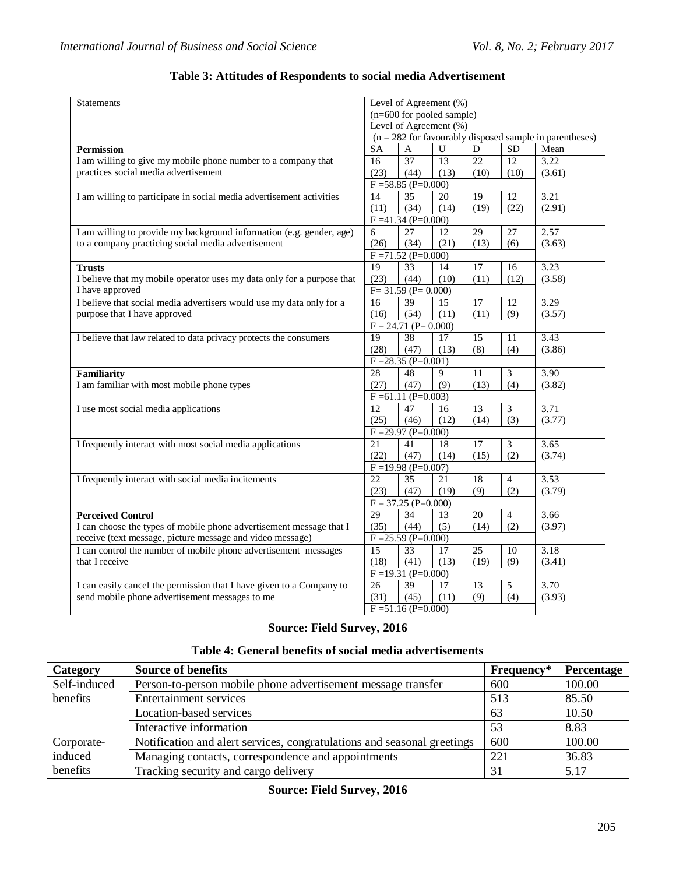| <b>Statements</b>                                                      |                                                            | Level of Agreement (%)           |      |                 |                 |        |
|------------------------------------------------------------------------|------------------------------------------------------------|----------------------------------|------|-----------------|-----------------|--------|
|                                                                        |                                                            | (n=600 for pooled sample)        |      |                 |                 |        |
|                                                                        | Level of Agreement $(\% )$                                 |                                  |      |                 |                 |        |
|                                                                        | $(n = 282$ for favourably disposed sample in parentheses)  |                                  |      |                 |                 |        |
| <b>Permission</b>                                                      | <b>SA</b>                                                  | A                                | U    | ${\bf D}$       | <b>SD</b>       | Mean   |
| I am willing to give my mobile phone number to a company that          | 16                                                         | 37                               | 13   | 22              | 12              | 3.22   |
| practices social media advertisement                                   | (23)                                                       | (44)                             | (13) | (10)            | (10)            | (3.61) |
|                                                                        |                                                            | $F = 58.85$ (P=0.000)            |      |                 |                 |        |
| I am willing to participate in social media advertisement activities   | 14                                                         | 35                               | 20   | $\overline{19}$ | $\overline{12}$ | 3.21   |
|                                                                        | (11)                                                       | (34)                             | (14) | (19)            | (22)            | (2.91) |
|                                                                        |                                                            | $F = 41.34 (P = 0.000)$          |      |                 |                 |        |
| I am willing to provide my background information (e.g. gender, age)   | 6                                                          | 27                               | 12   | 29              | 27              | 2.57   |
| to a company practicing social media advertisement                     | (26)                                                       | (34)                             | (21) | (13)            | (6)             | (3.63) |
|                                                                        |                                                            | $F = 71.52$ (P=0.000)            |      |                 |                 |        |
| <b>Trusts</b>                                                          | $\overline{19}$                                            | 33                               | 14   | 17              | 16              | 3.23   |
| I believe that my mobile operator uses my data only for a purpose that | (23)                                                       | (44)                             | (10) | (11)            | (12)            | (3.58) |
| I have approved                                                        |                                                            | $F = 31.59 (P = 0.000)$          |      |                 |                 |        |
| I believe that social media advertisers would use my data only for a   | 16                                                         | $\overline{39}$                  | 15   | 17              | 12              | 3.29   |
| purpose that I have approved                                           | (16)                                                       | (54)                             | (11) | (11)            | (9)             | (3.57) |
|                                                                        |                                                            |                                  |      |                 |                 |        |
| I believe that law related to data privacy protects the consumers      | $F = 24.71$ (P= 0.000)<br>19<br>38<br>15<br>11<br>17       |                                  |      | 3.43            |                 |        |
|                                                                        | (28)                                                       | (47)                             | (13) | (8)             | (4)             | (3.86) |
|                                                                        | $F = 28.35 (P = 0.001)$                                    |                                  |      |                 |                 |        |
| Familiarity                                                            | 28                                                         | 48                               | 9    | 11              | 3               | 3.90   |
| I am familiar with most mobile phone types                             | (27)                                                       | (47)                             | (9)  | (13)            | (4)             | (3.82) |
|                                                                        |                                                            | $F = 61.11$ (P=0.003)            |      |                 |                 |        |
| I use most social media applications                                   | 12                                                         | 47                               | 16   | 13              | 3               | 3.71   |
|                                                                        | (25)                                                       | (46)                             | (12) | (14)            | (3)             | (3.77) |
|                                                                        |                                                            | $F = 29.97$ (P=0.000)            |      |                 |                 |        |
| I frequently interact with most social media applications              | 21                                                         | 41                               | 18   | 17              | 3               | 3.65   |
|                                                                        | (22)                                                       | (47)                             | (14) | (15)            | (2)             | (3.74) |
|                                                                        |                                                            |                                  |      |                 |                 |        |
| I frequently interact with social media incitements                    | $F = 19.98$ (P=0.007)<br>22<br>35<br>21<br>18<br>4         |                                  | 3.53 |                 |                 |        |
|                                                                        | (23)                                                       | (47)                             | (19) | (9)             | (2)             | (3.79) |
|                                                                        |                                                            |                                  |      |                 |                 |        |
| <b>Perceived Control</b>                                               | $F = 37.25$ (P=0.000)<br>29<br>34<br>3.66<br>13<br>20<br>4 |                                  |      |                 |                 |        |
| I can choose the types of mobile phone advertisement message that I    | (35)                                                       | (44)                             | (5)  | (14)            | (2)             | (3.97) |
|                                                                        |                                                            | $\overline{F} = 25.59$ (P=0.000) |      |                 |                 |        |
| receive (text message, picture message and video message)              |                                                            |                                  |      |                 |                 |        |
| I can control the number of mobile phone advertisement messages        | 15                                                         | 33                               | 17   | 25              | 10              | 3.18   |
| that I receive                                                         | (18)                                                       | (41)                             | (13) | (19)            | (9)             | (3.41) |
|                                                                        |                                                            | $F = 19.31 (P = 0.000)$          |      |                 |                 |        |
| I can easily cancel the permission that I have given to a Company to   | 26                                                         | 39                               | 17   | 13              | 5               | 3.70   |
| send mobile phone advertisement messages to me                         | (31)                                                       | (45)                             | (11) | (9)             | (4)             | (3.93) |
|                                                                        |                                                            | $F = 51.16$ (P=0.000)            |      |                 |                 |        |

## **Table 3: Attitudes of Respondents to social media Advertisement**

## **Source: Field Survey, 2016**

## **Table 4: General benefits of social media advertisements**

| Category     | <b>Source of benefits</b>                                               | Frequency* | Percentage |
|--------------|-------------------------------------------------------------------------|------------|------------|
| Self-induced | Person-to-person mobile phone advertisement message transfer            | 600        | 100.00     |
| benefits     | <b>Entertainment services</b>                                           | 513        | 85.50      |
|              | Location-based services                                                 | 63         | 10.50      |
|              | Interactive information                                                 | 53         | 8.83       |
| Corporate-   | Notification and alert services, congratulations and seasonal greetings | 600        | 100.00     |
| induced      | Managing contacts, correspondence and appointments                      | 221        | 36.83      |
| benefits     | Tracking security and cargo delivery                                    | 31         | 5.17       |

## **Source: Field Survey, 2016**